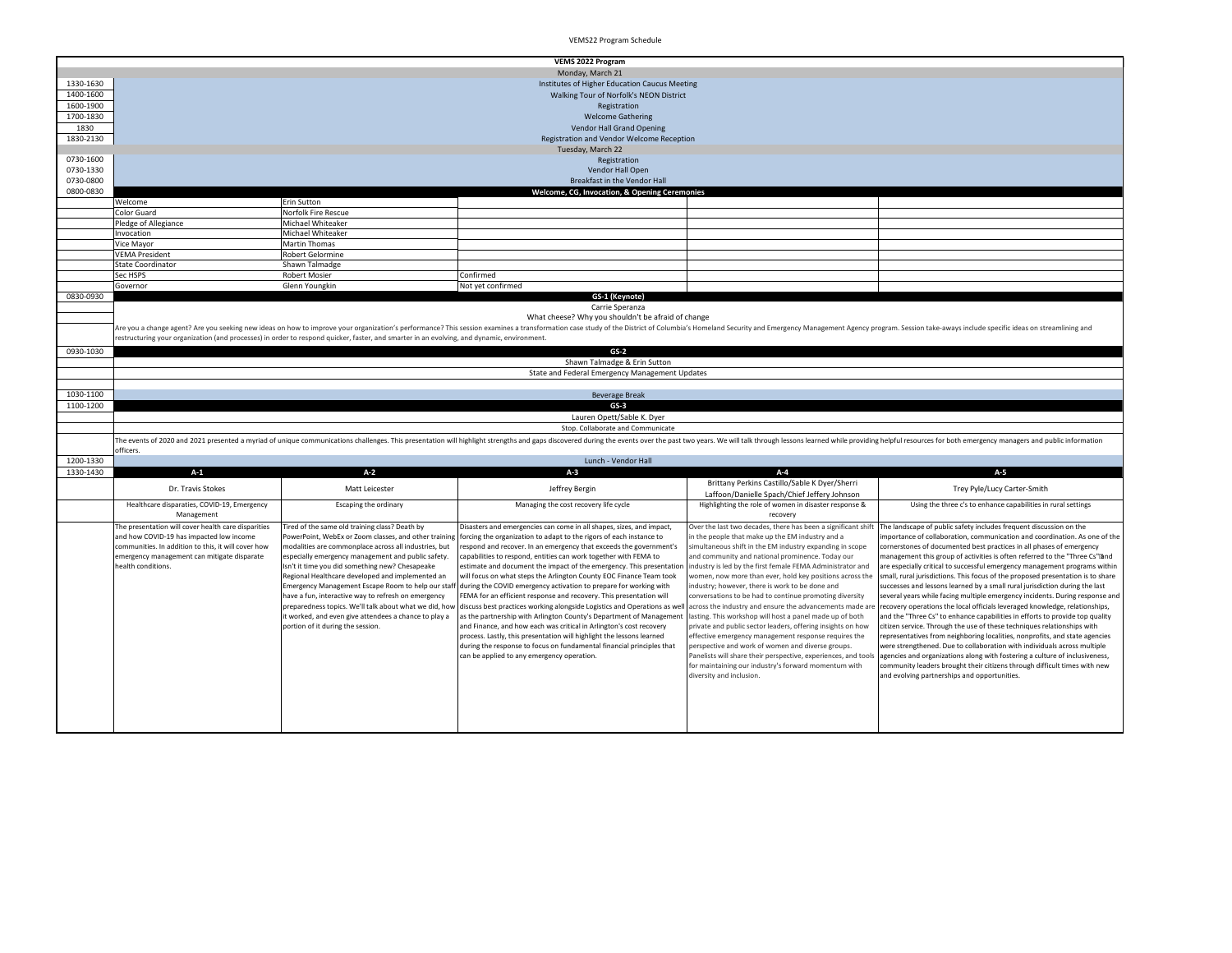|                        | <b>VEMS 2022 Program</b>                                                                                                                                                                                                       |                                                                                                                                                                                                                                                                                                                                                                                                                                                                                                                                                                                                    |                                                                                                                                                                                                                                                                                                                                                                                                                                                                                                                                                                                                                                                                                                                                                                                                                                                                                                                                                                                                             |                                                                                                                                                                                                                                                                                                                                                                                                                                                                                                                                                                                                                                                                                                                                                                                                                                                                                                                                     |                                                                                                                                                                                                                                                                                                                                                                                                                                                                                                                                                                                                                                                                                                                                                                                                                                                                                                                                                                                                                                                                                                                                                                                                                                                          |  |  |
|------------------------|--------------------------------------------------------------------------------------------------------------------------------------------------------------------------------------------------------------------------------|----------------------------------------------------------------------------------------------------------------------------------------------------------------------------------------------------------------------------------------------------------------------------------------------------------------------------------------------------------------------------------------------------------------------------------------------------------------------------------------------------------------------------------------------------------------------------------------------------|-------------------------------------------------------------------------------------------------------------------------------------------------------------------------------------------------------------------------------------------------------------------------------------------------------------------------------------------------------------------------------------------------------------------------------------------------------------------------------------------------------------------------------------------------------------------------------------------------------------------------------------------------------------------------------------------------------------------------------------------------------------------------------------------------------------------------------------------------------------------------------------------------------------------------------------------------------------------------------------------------------------|-------------------------------------------------------------------------------------------------------------------------------------------------------------------------------------------------------------------------------------------------------------------------------------------------------------------------------------------------------------------------------------------------------------------------------------------------------------------------------------------------------------------------------------------------------------------------------------------------------------------------------------------------------------------------------------------------------------------------------------------------------------------------------------------------------------------------------------------------------------------------------------------------------------------------------------|----------------------------------------------------------------------------------------------------------------------------------------------------------------------------------------------------------------------------------------------------------------------------------------------------------------------------------------------------------------------------------------------------------------------------------------------------------------------------------------------------------------------------------------------------------------------------------------------------------------------------------------------------------------------------------------------------------------------------------------------------------------------------------------------------------------------------------------------------------------------------------------------------------------------------------------------------------------------------------------------------------------------------------------------------------------------------------------------------------------------------------------------------------------------------------------------------------------------------------------------------------|--|--|
| 1330-1630              |                                                                                                                                                                                                                                |                                                                                                                                                                                                                                                                                                                                                                                                                                                                                                                                                                                                    | Monday, March 21                                                                                                                                                                                                                                                                                                                                                                                                                                                                                                                                                                                                                                                                                                                                                                                                                                                                                                                                                                                            |                                                                                                                                                                                                                                                                                                                                                                                                                                                                                                                                                                                                                                                                                                                                                                                                                                                                                                                                     |                                                                                                                                                                                                                                                                                                                                                                                                                                                                                                                                                                                                                                                                                                                                                                                                                                                                                                                                                                                                                                                                                                                                                                                                                                                          |  |  |
|                        |                                                                                                                                                                                                                                |                                                                                                                                                                                                                                                                                                                                                                                                                                                                                                                                                                                                    | Institutes of Higher Education Caucus Meeting                                                                                                                                                                                                                                                                                                                                                                                                                                                                                                                                                                                                                                                                                                                                                                                                                                                                                                                                                               |                                                                                                                                                                                                                                                                                                                                                                                                                                                                                                                                                                                                                                                                                                                                                                                                                                                                                                                                     |                                                                                                                                                                                                                                                                                                                                                                                                                                                                                                                                                                                                                                                                                                                                                                                                                                                                                                                                                                                                                                                                                                                                                                                                                                                          |  |  |
| 1400-1600              |                                                                                                                                                                                                                                |                                                                                                                                                                                                                                                                                                                                                                                                                                                                                                                                                                                                    | Walking Tour of Norfolk's NEON District                                                                                                                                                                                                                                                                                                                                                                                                                                                                                                                                                                                                                                                                                                                                                                                                                                                                                                                                                                     |                                                                                                                                                                                                                                                                                                                                                                                                                                                                                                                                                                                                                                                                                                                                                                                                                                                                                                                                     |                                                                                                                                                                                                                                                                                                                                                                                                                                                                                                                                                                                                                                                                                                                                                                                                                                                                                                                                                                                                                                                                                                                                                                                                                                                          |  |  |
| 1600-1900              |                                                                                                                                                                                                                                |                                                                                                                                                                                                                                                                                                                                                                                                                                                                                                                                                                                                    | Registration                                                                                                                                                                                                                                                                                                                                                                                                                                                                                                                                                                                                                                                                                                                                                                                                                                                                                                                                                                                                |                                                                                                                                                                                                                                                                                                                                                                                                                                                                                                                                                                                                                                                                                                                                                                                                                                                                                                                                     |                                                                                                                                                                                                                                                                                                                                                                                                                                                                                                                                                                                                                                                                                                                                                                                                                                                                                                                                                                                                                                                                                                                                                                                                                                                          |  |  |
| 1700-1830              |                                                                                                                                                                                                                                |                                                                                                                                                                                                                                                                                                                                                                                                                                                                                                                                                                                                    | <b>Welcome Gathering</b>                                                                                                                                                                                                                                                                                                                                                                                                                                                                                                                                                                                                                                                                                                                                                                                                                                                                                                                                                                                    |                                                                                                                                                                                                                                                                                                                                                                                                                                                                                                                                                                                                                                                                                                                                                                                                                                                                                                                                     |                                                                                                                                                                                                                                                                                                                                                                                                                                                                                                                                                                                                                                                                                                                                                                                                                                                                                                                                                                                                                                                                                                                                                                                                                                                          |  |  |
| 1830                   |                                                                                                                                                                                                                                |                                                                                                                                                                                                                                                                                                                                                                                                                                                                                                                                                                                                    | Vendor Hall Grand Opening                                                                                                                                                                                                                                                                                                                                                                                                                                                                                                                                                                                                                                                                                                                                                                                                                                                                                                                                                                                   |                                                                                                                                                                                                                                                                                                                                                                                                                                                                                                                                                                                                                                                                                                                                                                                                                                                                                                                                     |                                                                                                                                                                                                                                                                                                                                                                                                                                                                                                                                                                                                                                                                                                                                                                                                                                                                                                                                                                                                                                                                                                                                                                                                                                                          |  |  |
| 1830-2130              |                                                                                                                                                                                                                                |                                                                                                                                                                                                                                                                                                                                                                                                                                                                                                                                                                                                    | Registration and Vendor Welcome Reception                                                                                                                                                                                                                                                                                                                                                                                                                                                                                                                                                                                                                                                                                                                                                                                                                                                                                                                                                                   |                                                                                                                                                                                                                                                                                                                                                                                                                                                                                                                                                                                                                                                                                                                                                                                                                                                                                                                                     |                                                                                                                                                                                                                                                                                                                                                                                                                                                                                                                                                                                                                                                                                                                                                                                                                                                                                                                                                                                                                                                                                                                                                                                                                                                          |  |  |
|                        |                                                                                                                                                                                                                                |                                                                                                                                                                                                                                                                                                                                                                                                                                                                                                                                                                                                    | Tuesday, March 22                                                                                                                                                                                                                                                                                                                                                                                                                                                                                                                                                                                                                                                                                                                                                                                                                                                                                                                                                                                           |                                                                                                                                                                                                                                                                                                                                                                                                                                                                                                                                                                                                                                                                                                                                                                                                                                                                                                                                     |                                                                                                                                                                                                                                                                                                                                                                                                                                                                                                                                                                                                                                                                                                                                                                                                                                                                                                                                                                                                                                                                                                                                                                                                                                                          |  |  |
| 0730-1600              |                                                                                                                                                                                                                                |                                                                                                                                                                                                                                                                                                                                                                                                                                                                                                                                                                                                    | Registration                                                                                                                                                                                                                                                                                                                                                                                                                                                                                                                                                                                                                                                                                                                                                                                                                                                                                                                                                                                                |                                                                                                                                                                                                                                                                                                                                                                                                                                                                                                                                                                                                                                                                                                                                                                                                                                                                                                                                     |                                                                                                                                                                                                                                                                                                                                                                                                                                                                                                                                                                                                                                                                                                                                                                                                                                                                                                                                                                                                                                                                                                                                                                                                                                                          |  |  |
| 0730-1330              |                                                                                                                                                                                                                                |                                                                                                                                                                                                                                                                                                                                                                                                                                                                                                                                                                                                    | Vendor Hall Open                                                                                                                                                                                                                                                                                                                                                                                                                                                                                                                                                                                                                                                                                                                                                                                                                                                                                                                                                                                            |                                                                                                                                                                                                                                                                                                                                                                                                                                                                                                                                                                                                                                                                                                                                                                                                                                                                                                                                     |                                                                                                                                                                                                                                                                                                                                                                                                                                                                                                                                                                                                                                                                                                                                                                                                                                                                                                                                                                                                                                                                                                                                                                                                                                                          |  |  |
| 0730-0800<br>0800-0830 |                                                                                                                                                                                                                                |                                                                                                                                                                                                                                                                                                                                                                                                                                                                                                                                                                                                    | Breakfast in the Vendor Hall                                                                                                                                                                                                                                                                                                                                                                                                                                                                                                                                                                                                                                                                                                                                                                                                                                                                                                                                                                                |                                                                                                                                                                                                                                                                                                                                                                                                                                                                                                                                                                                                                                                                                                                                                                                                                                                                                                                                     |                                                                                                                                                                                                                                                                                                                                                                                                                                                                                                                                                                                                                                                                                                                                                                                                                                                                                                                                                                                                                                                                                                                                                                                                                                                          |  |  |
|                        | Welcome                                                                                                                                                                                                                        | Erin Sutton                                                                                                                                                                                                                                                                                                                                                                                                                                                                                                                                                                                        | Welcome, CG, Invocation, & Opening Ceremonies                                                                                                                                                                                                                                                                                                                                                                                                                                                                                                                                                                                                                                                                                                                                                                                                                                                                                                                                                               |                                                                                                                                                                                                                                                                                                                                                                                                                                                                                                                                                                                                                                                                                                                                                                                                                                                                                                                                     |                                                                                                                                                                                                                                                                                                                                                                                                                                                                                                                                                                                                                                                                                                                                                                                                                                                                                                                                                                                                                                                                                                                                                                                                                                                          |  |  |
|                        | Color Guard                                                                                                                                                                                                                    | Norfolk Fire Rescue                                                                                                                                                                                                                                                                                                                                                                                                                                                                                                                                                                                |                                                                                                                                                                                                                                                                                                                                                                                                                                                                                                                                                                                                                                                                                                                                                                                                                                                                                                                                                                                                             |                                                                                                                                                                                                                                                                                                                                                                                                                                                                                                                                                                                                                                                                                                                                                                                                                                                                                                                                     |                                                                                                                                                                                                                                                                                                                                                                                                                                                                                                                                                                                                                                                                                                                                                                                                                                                                                                                                                                                                                                                                                                                                                                                                                                                          |  |  |
|                        | Pledge of Allegiance                                                                                                                                                                                                           | Michael Whiteaker                                                                                                                                                                                                                                                                                                                                                                                                                                                                                                                                                                                  |                                                                                                                                                                                                                                                                                                                                                                                                                                                                                                                                                                                                                                                                                                                                                                                                                                                                                                                                                                                                             |                                                                                                                                                                                                                                                                                                                                                                                                                                                                                                                                                                                                                                                                                                                                                                                                                                                                                                                                     |                                                                                                                                                                                                                                                                                                                                                                                                                                                                                                                                                                                                                                                                                                                                                                                                                                                                                                                                                                                                                                                                                                                                                                                                                                                          |  |  |
|                        | Invocation                                                                                                                                                                                                                     | Michael Whiteaker                                                                                                                                                                                                                                                                                                                                                                                                                                                                                                                                                                                  |                                                                                                                                                                                                                                                                                                                                                                                                                                                                                                                                                                                                                                                                                                                                                                                                                                                                                                                                                                                                             |                                                                                                                                                                                                                                                                                                                                                                                                                                                                                                                                                                                                                                                                                                                                                                                                                                                                                                                                     |                                                                                                                                                                                                                                                                                                                                                                                                                                                                                                                                                                                                                                                                                                                                                                                                                                                                                                                                                                                                                                                                                                                                                                                                                                                          |  |  |
|                        | Vice Mayor                                                                                                                                                                                                                     | Martin Thomas                                                                                                                                                                                                                                                                                                                                                                                                                                                                                                                                                                                      |                                                                                                                                                                                                                                                                                                                                                                                                                                                                                                                                                                                                                                                                                                                                                                                                                                                                                                                                                                                                             |                                                                                                                                                                                                                                                                                                                                                                                                                                                                                                                                                                                                                                                                                                                                                                                                                                                                                                                                     |                                                                                                                                                                                                                                                                                                                                                                                                                                                                                                                                                                                                                                                                                                                                                                                                                                                                                                                                                                                                                                                                                                                                                                                                                                                          |  |  |
|                        | <b>VEMA President</b>                                                                                                                                                                                                          | Robert Gelormine                                                                                                                                                                                                                                                                                                                                                                                                                                                                                                                                                                                   |                                                                                                                                                                                                                                                                                                                                                                                                                                                                                                                                                                                                                                                                                                                                                                                                                                                                                                                                                                                                             |                                                                                                                                                                                                                                                                                                                                                                                                                                                                                                                                                                                                                                                                                                                                                                                                                                                                                                                                     |                                                                                                                                                                                                                                                                                                                                                                                                                                                                                                                                                                                                                                                                                                                                                                                                                                                                                                                                                                                                                                                                                                                                                                                                                                                          |  |  |
|                        | <b>State Coordinator</b>                                                                                                                                                                                                       | Shawn Talmadge                                                                                                                                                                                                                                                                                                                                                                                                                                                                                                                                                                                     |                                                                                                                                                                                                                                                                                                                                                                                                                                                                                                                                                                                                                                                                                                                                                                                                                                                                                                                                                                                                             |                                                                                                                                                                                                                                                                                                                                                                                                                                                                                                                                                                                                                                                                                                                                                                                                                                                                                                                                     |                                                                                                                                                                                                                                                                                                                                                                                                                                                                                                                                                                                                                                                                                                                                                                                                                                                                                                                                                                                                                                                                                                                                                                                                                                                          |  |  |
|                        | Sec HSPS                                                                                                                                                                                                                       | <b>Robert Mosier</b>                                                                                                                                                                                                                                                                                                                                                                                                                                                                                                                                                                               | Confirmed                                                                                                                                                                                                                                                                                                                                                                                                                                                                                                                                                                                                                                                                                                                                                                                                                                                                                                                                                                                                   |                                                                                                                                                                                                                                                                                                                                                                                                                                                                                                                                                                                                                                                                                                                                                                                                                                                                                                                                     |                                                                                                                                                                                                                                                                                                                                                                                                                                                                                                                                                                                                                                                                                                                                                                                                                                                                                                                                                                                                                                                                                                                                                                                                                                                          |  |  |
|                        | Governor                                                                                                                                                                                                                       | Glenn Youngkin                                                                                                                                                                                                                                                                                                                                                                                                                                                                                                                                                                                     | Not yet confirmed                                                                                                                                                                                                                                                                                                                                                                                                                                                                                                                                                                                                                                                                                                                                                                                                                                                                                                                                                                                           |                                                                                                                                                                                                                                                                                                                                                                                                                                                                                                                                                                                                                                                                                                                                                                                                                                                                                                                                     |                                                                                                                                                                                                                                                                                                                                                                                                                                                                                                                                                                                                                                                                                                                                                                                                                                                                                                                                                                                                                                                                                                                                                                                                                                                          |  |  |
| 0830-0930              |                                                                                                                                                                                                                                |                                                                                                                                                                                                                                                                                                                                                                                                                                                                                                                                                                                                    | GS-1 (Keynote)                                                                                                                                                                                                                                                                                                                                                                                                                                                                                                                                                                                                                                                                                                                                                                                                                                                                                                                                                                                              |                                                                                                                                                                                                                                                                                                                                                                                                                                                                                                                                                                                                                                                                                                                                                                                                                                                                                                                                     |                                                                                                                                                                                                                                                                                                                                                                                                                                                                                                                                                                                                                                                                                                                                                                                                                                                                                                                                                                                                                                                                                                                                                                                                                                                          |  |  |
|                        |                                                                                                                                                                                                                                |                                                                                                                                                                                                                                                                                                                                                                                                                                                                                                                                                                                                    | Carrie Speranza                                                                                                                                                                                                                                                                                                                                                                                                                                                                                                                                                                                                                                                                                                                                                                                                                                                                                                                                                                                             |                                                                                                                                                                                                                                                                                                                                                                                                                                                                                                                                                                                                                                                                                                                                                                                                                                                                                                                                     |                                                                                                                                                                                                                                                                                                                                                                                                                                                                                                                                                                                                                                                                                                                                                                                                                                                                                                                                                                                                                                                                                                                                                                                                                                                          |  |  |
|                        |                                                                                                                                                                                                                                |                                                                                                                                                                                                                                                                                                                                                                                                                                                                                                                                                                                                    | What cheese? Why you shouldn't be afraid of change                                                                                                                                                                                                                                                                                                                                                                                                                                                                                                                                                                                                                                                                                                                                                                                                                                                                                                                                                          |                                                                                                                                                                                                                                                                                                                                                                                                                                                                                                                                                                                                                                                                                                                                                                                                                                                                                                                                     |                                                                                                                                                                                                                                                                                                                                                                                                                                                                                                                                                                                                                                                                                                                                                                                                                                                                                                                                                                                                                                                                                                                                                                                                                                                          |  |  |
|                        |                                                                                                                                                                                                                                |                                                                                                                                                                                                                                                                                                                                                                                                                                                                                                                                                                                                    | Are you a change agent? Are you seeking new ideas on how to improve your organization's performance? This session examines a transformation case study of the District of Columbia's Homeland Security and Emergency Managemen                                                                                                                                                                                                                                                                                                                                                                                                                                                                                                                                                                                                                                                                                                                                                                              |                                                                                                                                                                                                                                                                                                                                                                                                                                                                                                                                                                                                                                                                                                                                                                                                                                                                                                                                     |                                                                                                                                                                                                                                                                                                                                                                                                                                                                                                                                                                                                                                                                                                                                                                                                                                                                                                                                                                                                                                                                                                                                                                                                                                                          |  |  |
|                        |                                                                                                                                                                                                                                | restructuring your organization (and processes) in order to respond quicker, faster, and smarter in an evolving, and dynamic, environment.                                                                                                                                                                                                                                                                                                                                                                                                                                                         |                                                                                                                                                                                                                                                                                                                                                                                                                                                                                                                                                                                                                                                                                                                                                                                                                                                                                                                                                                                                             |                                                                                                                                                                                                                                                                                                                                                                                                                                                                                                                                                                                                                                                                                                                                                                                                                                                                                                                                     |                                                                                                                                                                                                                                                                                                                                                                                                                                                                                                                                                                                                                                                                                                                                                                                                                                                                                                                                                                                                                                                                                                                                                                                                                                                          |  |  |
| 0930-1030              |                                                                                                                                                                                                                                |                                                                                                                                                                                                                                                                                                                                                                                                                                                                                                                                                                                                    | $GS-2$                                                                                                                                                                                                                                                                                                                                                                                                                                                                                                                                                                                                                                                                                                                                                                                                                                                                                                                                                                                                      |                                                                                                                                                                                                                                                                                                                                                                                                                                                                                                                                                                                                                                                                                                                                                                                                                                                                                                                                     |                                                                                                                                                                                                                                                                                                                                                                                                                                                                                                                                                                                                                                                                                                                                                                                                                                                                                                                                                                                                                                                                                                                                                                                                                                                          |  |  |
|                        |                                                                                                                                                                                                                                |                                                                                                                                                                                                                                                                                                                                                                                                                                                                                                                                                                                                    | Shawn Talmadge & Erin Sutton                                                                                                                                                                                                                                                                                                                                                                                                                                                                                                                                                                                                                                                                                                                                                                                                                                                                                                                                                                                |                                                                                                                                                                                                                                                                                                                                                                                                                                                                                                                                                                                                                                                                                                                                                                                                                                                                                                                                     |                                                                                                                                                                                                                                                                                                                                                                                                                                                                                                                                                                                                                                                                                                                                                                                                                                                                                                                                                                                                                                                                                                                                                                                                                                                          |  |  |
|                        |                                                                                                                                                                                                                                |                                                                                                                                                                                                                                                                                                                                                                                                                                                                                                                                                                                                    | State and Federal Emergency Management Updates                                                                                                                                                                                                                                                                                                                                                                                                                                                                                                                                                                                                                                                                                                                                                                                                                                                                                                                                                              |                                                                                                                                                                                                                                                                                                                                                                                                                                                                                                                                                                                                                                                                                                                                                                                                                                                                                                                                     |                                                                                                                                                                                                                                                                                                                                                                                                                                                                                                                                                                                                                                                                                                                                                                                                                                                                                                                                                                                                                                                                                                                                                                                                                                                          |  |  |
|                        |                                                                                                                                                                                                                                |                                                                                                                                                                                                                                                                                                                                                                                                                                                                                                                                                                                                    |                                                                                                                                                                                                                                                                                                                                                                                                                                                                                                                                                                                                                                                                                                                                                                                                                                                                                                                                                                                                             |                                                                                                                                                                                                                                                                                                                                                                                                                                                                                                                                                                                                                                                                                                                                                                                                                                                                                                                                     |                                                                                                                                                                                                                                                                                                                                                                                                                                                                                                                                                                                                                                                                                                                                                                                                                                                                                                                                                                                                                                                                                                                                                                                                                                                          |  |  |
| 1030-1100              |                                                                                                                                                                                                                                |                                                                                                                                                                                                                                                                                                                                                                                                                                                                                                                                                                                                    | <b>Beverage Break</b>                                                                                                                                                                                                                                                                                                                                                                                                                                                                                                                                                                                                                                                                                                                                                                                                                                                                                                                                                                                       |                                                                                                                                                                                                                                                                                                                                                                                                                                                                                                                                                                                                                                                                                                                                                                                                                                                                                                                                     |                                                                                                                                                                                                                                                                                                                                                                                                                                                                                                                                                                                                                                                                                                                                                                                                                                                                                                                                                                                                                                                                                                                                                                                                                                                          |  |  |
| 1100-1200              |                                                                                                                                                                                                                                |                                                                                                                                                                                                                                                                                                                                                                                                                                                                                                                                                                                                    | $GS-3$                                                                                                                                                                                                                                                                                                                                                                                                                                                                                                                                                                                                                                                                                                                                                                                                                                                                                                                                                                                                      |                                                                                                                                                                                                                                                                                                                                                                                                                                                                                                                                                                                                                                                                                                                                                                                                                                                                                                                                     |                                                                                                                                                                                                                                                                                                                                                                                                                                                                                                                                                                                                                                                                                                                                                                                                                                                                                                                                                                                                                                                                                                                                                                                                                                                          |  |  |
|                        |                                                                                                                                                                                                                                |                                                                                                                                                                                                                                                                                                                                                                                                                                                                                                                                                                                                    | Lauren Opett/Sable K. Dyer                                                                                                                                                                                                                                                                                                                                                                                                                                                                                                                                                                                                                                                                                                                                                                                                                                                                                                                                                                                  |                                                                                                                                                                                                                                                                                                                                                                                                                                                                                                                                                                                                                                                                                                                                                                                                                                                                                                                                     |                                                                                                                                                                                                                                                                                                                                                                                                                                                                                                                                                                                                                                                                                                                                                                                                                                                                                                                                                                                                                                                                                                                                                                                                                                                          |  |  |
|                        | Stop. Collaborate and Communicate                                                                                                                                                                                              |                                                                                                                                                                                                                                                                                                                                                                                                                                                                                                                                                                                                    |                                                                                                                                                                                                                                                                                                                                                                                                                                                                                                                                                                                                                                                                                                                                                                                                                                                                                                                                                                                                             |                                                                                                                                                                                                                                                                                                                                                                                                                                                                                                                                                                                                                                                                                                                                                                                                                                                                                                                                     |                                                                                                                                                                                                                                                                                                                                                                                                                                                                                                                                                                                                                                                                                                                                                                                                                                                                                                                                                                                                                                                                                                                                                                                                                                                          |  |  |
|                        | The events of 2020 and 2021 presented a myriad of unique communications challenges. This presentation will highlight strengths and gaps discovered during the events over the past two years. We will talk through lessons lea |                                                                                                                                                                                                                                                                                                                                                                                                                                                                                                                                                                                                    |                                                                                                                                                                                                                                                                                                                                                                                                                                                                                                                                                                                                                                                                                                                                                                                                                                                                                                                                                                                                             |                                                                                                                                                                                                                                                                                                                                                                                                                                                                                                                                                                                                                                                                                                                                                                                                                                                                                                                                     |                                                                                                                                                                                                                                                                                                                                                                                                                                                                                                                                                                                                                                                                                                                                                                                                                                                                                                                                                                                                                                                                                                                                                                                                                                                          |  |  |
|                        | officers.                                                                                                                                                                                                                      |                                                                                                                                                                                                                                                                                                                                                                                                                                                                                                                                                                                                    |                                                                                                                                                                                                                                                                                                                                                                                                                                                                                                                                                                                                                                                                                                                                                                                                                                                                                                                                                                                                             |                                                                                                                                                                                                                                                                                                                                                                                                                                                                                                                                                                                                                                                                                                                                                                                                                                                                                                                                     |                                                                                                                                                                                                                                                                                                                                                                                                                                                                                                                                                                                                                                                                                                                                                                                                                                                                                                                                                                                                                                                                                                                                                                                                                                                          |  |  |
| 1200-1330              |                                                                                                                                                                                                                                |                                                                                                                                                                                                                                                                                                                                                                                                                                                                                                                                                                                                    | Lunch - Vendor Hall                                                                                                                                                                                                                                                                                                                                                                                                                                                                                                                                                                                                                                                                                                                                                                                                                                                                                                                                                                                         |                                                                                                                                                                                                                                                                                                                                                                                                                                                                                                                                                                                                                                                                                                                                                                                                                                                                                                                                     |                                                                                                                                                                                                                                                                                                                                                                                                                                                                                                                                                                                                                                                                                                                                                                                                                                                                                                                                                                                                                                                                                                                                                                                                                                                          |  |  |
| 1330-1430              | $A-1$                                                                                                                                                                                                                          | $A-2$                                                                                                                                                                                                                                                                                                                                                                                                                                                                                                                                                                                              | $A-3$                                                                                                                                                                                                                                                                                                                                                                                                                                                                                                                                                                                                                                                                                                                                                                                                                                                                                                                                                                                                       | A-4                                                                                                                                                                                                                                                                                                                                                                                                                                                                                                                                                                                                                                                                                                                                                                                                                                                                                                                                 | $A-5$                                                                                                                                                                                                                                                                                                                                                                                                                                                                                                                                                                                                                                                                                                                                                                                                                                                                                                                                                                                                                                                                                                                                                                                                                                                    |  |  |
|                        | Dr. Travis Stokes                                                                                                                                                                                                              | Matt Leicester                                                                                                                                                                                                                                                                                                                                                                                                                                                                                                                                                                                     | Jeffrey Bergin                                                                                                                                                                                                                                                                                                                                                                                                                                                                                                                                                                                                                                                                                                                                                                                                                                                                                                                                                                                              | Brittany Perkins Castillo/Sable K Dyer/Sherri<br>Laffoon/Danielle Spach/Chief Jeffery Johnson                                                                                                                                                                                                                                                                                                                                                                                                                                                                                                                                                                                                                                                                                                                                                                                                                                       | Trey Pyle/Lucy Carter-Smith                                                                                                                                                                                                                                                                                                                                                                                                                                                                                                                                                                                                                                                                                                                                                                                                                                                                                                                                                                                                                                                                                                                                                                                                                              |  |  |
|                        | Healthcare disparaties, COVID-19, Emergency<br>Management                                                                                                                                                                      | Escaping the ordinary                                                                                                                                                                                                                                                                                                                                                                                                                                                                                                                                                                              | Managing the cost recovery life cycle                                                                                                                                                                                                                                                                                                                                                                                                                                                                                                                                                                                                                                                                                                                                                                                                                                                                                                                                                                       | Highlighting the role of women in disaster response &<br>recoven                                                                                                                                                                                                                                                                                                                                                                                                                                                                                                                                                                                                                                                                                                                                                                                                                                                                    | Using the three c's to enhance capabilities in rural settings                                                                                                                                                                                                                                                                                                                                                                                                                                                                                                                                                                                                                                                                                                                                                                                                                                                                                                                                                                                                                                                                                                                                                                                            |  |  |
|                        | The presentation will cover health care disparities<br>and how COVID-19 has impacted low income<br>communities. In addition to this, it will cover how<br>emergency management can mitigate disparate<br>health conditions.    | Tired of the same old training class? Death by<br>PowerPoint. WebEx or Zoom classes, and other training<br>modalities are commonplace across all industries, but<br>especially emergency management and public safety.<br>Isn't it time you did something new? Chesapeake<br>Regional Healthcare developed and implemented an<br>Emergency Management Escape Room to help our staff<br>have a fun, interactive way to refresh on emergency<br>preparedness topics. We'll talk about what we did, how<br>it worked, and even give attendees a chance to play a<br>portion of it during the session. | Disasters and emergencies can come in all shapes, sizes, and impact,<br>forcing the organization to adapt to the rigors of each instance to<br>respond and recover. In an emergency that exceeds the government's<br>capabilities to respond, entities can work together with FEMA to<br>estimate and document the impact of the emergency. This presentation<br>will focus on what steps the Arlington County EOC Finance Team took<br>during the COVID emergency activation to prepare for working with<br>FEMA for an efficient response and recovery. This presentation will<br>discuss best practices working alongside Logistics and Operations as well<br>as the partnership with Arlington County's Department of Management<br>and Finance, and how each was critical in Arlington's cost recovery<br>process. Lastly, this presentation will highlight the lessons learned<br>during the response to focus on fundamental financial principles that<br>can be applied to any emergency operation. | Over the last two decades, there has been a significant shift<br>in the people that make up the EM industry and a<br>simultaneous shift in the EM industry expanding in scope<br>and community and national prominence. Today our<br>industry is led by the first female FEMA Administrator and<br>women, now more than ever, hold key positions across the<br>industry; however, there is work to be done and<br>conversations to be had to continue promoting diversity<br>across the industry and ensure the advancements made are<br>lasting. This workshop will host a panel made up of both<br>private and public sector leaders, offering insights on how<br>effective emergency management response requires the<br>perspective and work of women and diverse groups.<br>Panelists will share their perspective, experiences, and tools<br>for maintaining our industry's forward momentum with<br>diversity and inclusion. | The landscape of public safety includes frequent discussion on the<br>importance of collaboration, communication and coordination. As one of the<br>cornerstones of documented best practices in all phases of emergency<br>management this group of activities is often referred to the "Three Cs" and<br>are especially critical to successful emergency management programs within<br>small, rural jurisdictions. This focus of the proposed presentation is to share<br>successes and lessons learned by a small rural jurisdiction during the last<br>several years while facing multiple emergency incidents. During response and<br>recovery operations the local officials leveraged knowledge, relationships,<br>and the "Three Cs" to enhance capabilities in efforts to provide top quality<br>citizen service. Through the use of these techniques relationships with<br>representatives from neighboring localities, nonprofits, and state agencies<br>were strengthened. Due to collaboration with individuals across multiple<br>agencies and organizations along with fostering a culture of inclusiveness,<br>community leaders brought their citizens through difficult times with new<br>and evolving partnerships and opportunities. |  |  |
|                        |                                                                                                                                                                                                                                |                                                                                                                                                                                                                                                                                                                                                                                                                                                                                                                                                                                                    |                                                                                                                                                                                                                                                                                                                                                                                                                                                                                                                                                                                                                                                                                                                                                                                                                                                                                                                                                                                                             |                                                                                                                                                                                                                                                                                                                                                                                                                                                                                                                                                                                                                                                                                                                                                                                                                                                                                                                                     |                                                                                                                                                                                                                                                                                                                                                                                                                                                                                                                                                                                                                                                                                                                                                                                                                                                                                                                                                                                                                                                                                                                                                                                                                                                          |  |  |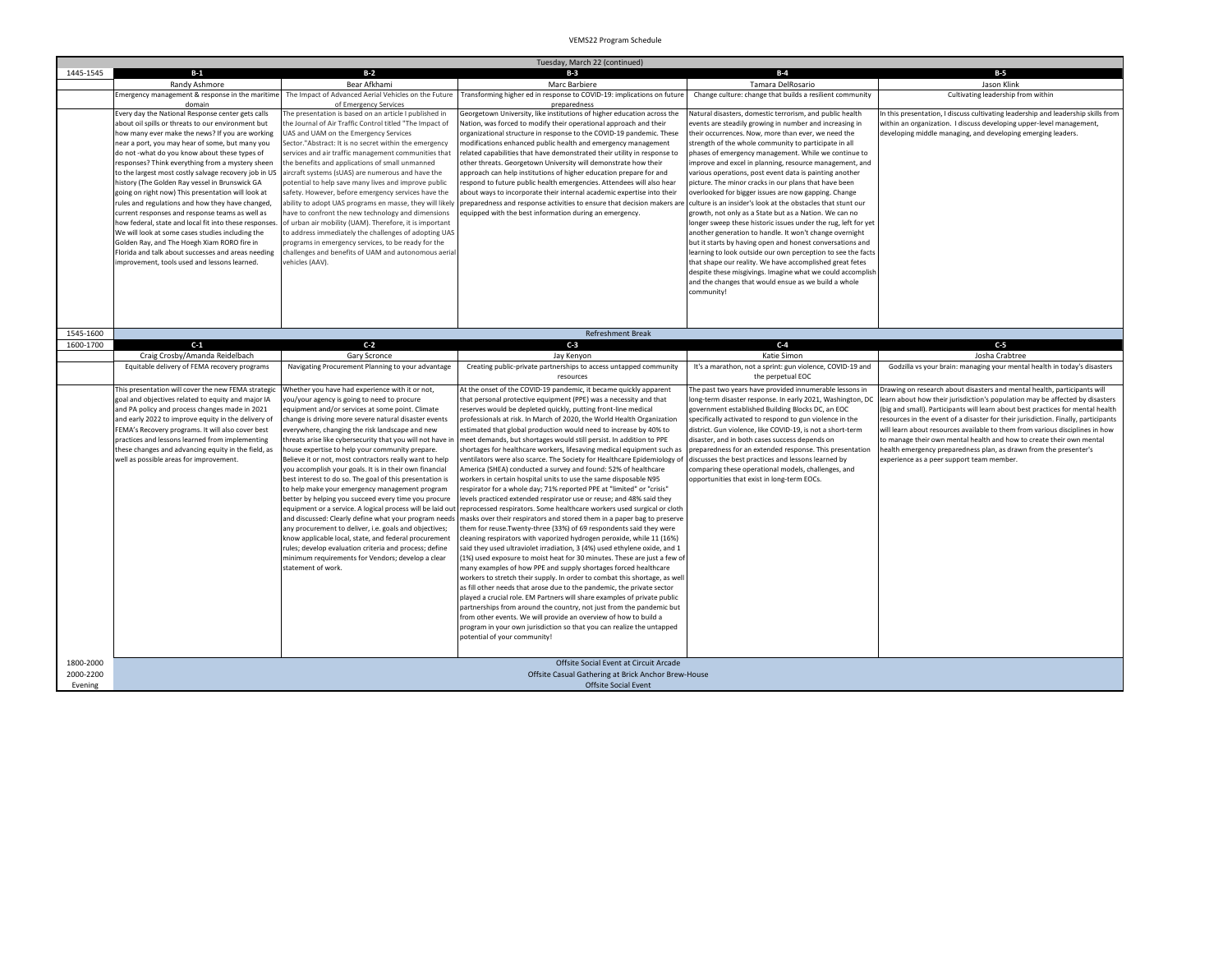|           | Tuesday, March 22 (continued)                                                                                                                                                                                                                                                                                                                                                                                                |                                                                                                                                                                                                                                                                                                                                                                                                                                                                                                                                                                                                                                                                                                                                                                                                                                                                                                                                                                                                                                                            |                                                                                                                                                                                                                                                                                                                                                                                                                                                                                                                                                                                                                                                                                                                                                                                                                                                                                                                                                                                                                                                                                                                                                                                                                                                                                                                                                                                                                                                                                                                                                                                                                                                                                                                                                                                                                                                                     |                                                                                                                                                                                                                                                                                                                                                                                                                                                                                                                                                                                 |                                                                                                                                                                                                                                                                                                                                                                                                                                                                                                                                                                                                             |  |
|-----------|------------------------------------------------------------------------------------------------------------------------------------------------------------------------------------------------------------------------------------------------------------------------------------------------------------------------------------------------------------------------------------------------------------------------------|------------------------------------------------------------------------------------------------------------------------------------------------------------------------------------------------------------------------------------------------------------------------------------------------------------------------------------------------------------------------------------------------------------------------------------------------------------------------------------------------------------------------------------------------------------------------------------------------------------------------------------------------------------------------------------------------------------------------------------------------------------------------------------------------------------------------------------------------------------------------------------------------------------------------------------------------------------------------------------------------------------------------------------------------------------|---------------------------------------------------------------------------------------------------------------------------------------------------------------------------------------------------------------------------------------------------------------------------------------------------------------------------------------------------------------------------------------------------------------------------------------------------------------------------------------------------------------------------------------------------------------------------------------------------------------------------------------------------------------------------------------------------------------------------------------------------------------------------------------------------------------------------------------------------------------------------------------------------------------------------------------------------------------------------------------------------------------------------------------------------------------------------------------------------------------------------------------------------------------------------------------------------------------------------------------------------------------------------------------------------------------------------------------------------------------------------------------------------------------------------------------------------------------------------------------------------------------------------------------------------------------------------------------------------------------------------------------------------------------------------------------------------------------------------------------------------------------------------------------------------------------------------------------------------------------------|---------------------------------------------------------------------------------------------------------------------------------------------------------------------------------------------------------------------------------------------------------------------------------------------------------------------------------------------------------------------------------------------------------------------------------------------------------------------------------------------------------------------------------------------------------------------------------|-------------------------------------------------------------------------------------------------------------------------------------------------------------------------------------------------------------------------------------------------------------------------------------------------------------------------------------------------------------------------------------------------------------------------------------------------------------------------------------------------------------------------------------------------------------------------------------------------------------|--|
| 1445-1545 | $B-1$                                                                                                                                                                                                                                                                                                                                                                                                                        | $B-2$                                                                                                                                                                                                                                                                                                                                                                                                                                                                                                                                                                                                                                                                                                                                                                                                                                                                                                                                                                                                                                                      | $B-3$                                                                                                                                                                                                                                                                                                                                                                                                                                                                                                                                                                                                                                                                                                                                                                                                                                                                                                                                                                                                                                                                                                                                                                                                                                                                                                                                                                                                                                                                                                                                                                                                                                                                                                                                                                                                                                                               | $B-4$                                                                                                                                                                                                                                                                                                                                                                                                                                                                                                                                                                           | $B-5$                                                                                                                                                                                                                                                                                                                                                                                                                                                                                                                                                                                                       |  |
|           | Randy Ashmore                                                                                                                                                                                                                                                                                                                                                                                                                | Bear Afkhami                                                                                                                                                                                                                                                                                                                                                                                                                                                                                                                                                                                                                                                                                                                                                                                                                                                                                                                                                                                                                                               | Marc Barbiere                                                                                                                                                                                                                                                                                                                                                                                                                                                                                                                                                                                                                                                                                                                                                                                                                                                                                                                                                                                                                                                                                                                                                                                                                                                                                                                                                                                                                                                                                                                                                                                                                                                                                                                                                                                                                                                       | Tamara DelRosario                                                                                                                                                                                                                                                                                                                                                                                                                                                                                                                                                               | Jason Klink                                                                                                                                                                                                                                                                                                                                                                                                                                                                                                                                                                                                 |  |
|           | Emergency management & response in the maritime<br>domain                                                                                                                                                                                                                                                                                                                                                                    | The Impact of Advanced Aerial Vehicles on the Future<br>of Emergency Services                                                                                                                                                                                                                                                                                                                                                                                                                                                                                                                                                                                                                                                                                                                                                                                                                                                                                                                                                                              | Transforming higher ed in response to COVID-19: implications on future<br>nrenaredness                                                                                                                                                                                                                                                                                                                                                                                                                                                                                                                                                                                                                                                                                                                                                                                                                                                                                                                                                                                                                                                                                                                                                                                                                                                                                                                                                                                                                                                                                                                                                                                                                                                                                                                                                                              | Change culture: change that builds a resilient community                                                                                                                                                                                                                                                                                                                                                                                                                                                                                                                        | Cultivating leadership from within                                                                                                                                                                                                                                                                                                                                                                                                                                                                                                                                                                          |  |
|           | Every day the National Response center gets calls<br>about oil spills or threats to our environment but<br>how many ever make the news? If you are working<br>near a port, you may hear of some, but many you                                                                                                                                                                                                                | The presentation is based on an article I published in<br>the Journal of Air Traffic Control titled "The Impact of<br>JAS and UAM on the Emergency Services<br>Sector."Abstract: It is no secret within the emergency                                                                                                                                                                                                                                                                                                                                                                                                                                                                                                                                                                                                                                                                                                                                                                                                                                      | Georgetown University, like institutions of higher education across the<br>Nation, was forced to modify their operational approach and their<br>organizational structure in response to the COVID-19 pandemic. These<br>modifications enhanced public health and emergency management                                                                                                                                                                                                                                                                                                                                                                                                                                                                                                                                                                                                                                                                                                                                                                                                                                                                                                                                                                                                                                                                                                                                                                                                                                                                                                                                                                                                                                                                                                                                                                               | Natural disasters, domestic terrorism, and public health<br>events are steadily growing in number and increasing in<br>their occurrences. Now, more than ever, we need the<br>strength of the whole community to participate in all                                                                                                                                                                                                                                                                                                                                             | In this presentation, I discuss cultivating leadership and leadership skills from<br>within an organization. I discuss developing upper-level management,<br>developing middle managing, and developing emerging leaders.                                                                                                                                                                                                                                                                                                                                                                                   |  |
|           | do not -what do you know about these types of<br>responses? Think everything from a mystery sheen<br>to the largest most costly salvage recovery job in US<br>history (The Golden Ray vessel in Brunswick GA<br>going on right now) This presentation will look at<br>rules and regulations and how they have changed,<br>current responses and response teams as well as                                                    | services and air traffic management communities that<br>the benefits and applications of small unmanned<br>aircraft systems (sUAS) are numerous and have the<br>potential to help save many lives and improve public<br>safety. However, before emergency services have the<br>ability to adopt UAS programs en masse, they will likely<br>have to confront the new technology and dimensions                                                                                                                                                                                                                                                                                                                                                                                                                                                                                                                                                                                                                                                              | elated capabilities that have demonstrated their utility in response to<br>other threats. Georgetown University will demonstrate how their<br>approach can help institutions of higher education prepare for and<br>espond to future public health emergencies. Attendees will also hear<br>about ways to incorporate their internal academic expertise into their<br>preparedness and response activities to ensure that decision makers are<br>equipped with the best information during an emergency.                                                                                                                                                                                                                                                                                                                                                                                                                                                                                                                                                                                                                                                                                                                                                                                                                                                                                                                                                                                                                                                                                                                                                                                                                                                                                                                                                            | phases of emergency management. While we continue to<br>improve and excel in planning, resource management, and<br>various operations, post event data is painting another<br>picture. The minor cracks in our plans that have been<br>overlooked for bigger issues are now gapping. Change<br>culture is an insider's look at the obstacles that stunt our<br>growth, not only as a State but as a Nation. We can no                                                                                                                                                           |                                                                                                                                                                                                                                                                                                                                                                                                                                                                                                                                                                                                             |  |
|           | how federal, state and local fit into these responses.<br>We will look at some cases studies including the<br>Golden Ray, and The Hoegh Xiam RORO fire in<br>Florida and talk about successes and areas needing<br>improvement, tools used and lessons learned.                                                                                                                                                              | of urban air mobility (UAM). Therefore, it is important<br>to address immediately the challenges of adopting UAS<br>programs in emergency services, to be ready for the<br>challenges and benefits of UAM and autonomous aeria<br>vehicles (AAV).                                                                                                                                                                                                                                                                                                                                                                                                                                                                                                                                                                                                                                                                                                                                                                                                          |                                                                                                                                                                                                                                                                                                                                                                                                                                                                                                                                                                                                                                                                                                                                                                                                                                                                                                                                                                                                                                                                                                                                                                                                                                                                                                                                                                                                                                                                                                                                                                                                                                                                                                                                                                                                                                                                     | longer sweep these historic issues under the rug, left for yet<br>another generation to handle. It won't change overnight<br>but it starts by having open and honest conversations and<br>learning to look outside our own perception to see the facts<br>that shape our reality. We have accomplished great fetes<br>despite these misgivings. Imagine what we could accomplish<br>and the changes that would ensue as we build a whole<br>community!                                                                                                                          |                                                                                                                                                                                                                                                                                                                                                                                                                                                                                                                                                                                                             |  |
| 1545-1600 |                                                                                                                                                                                                                                                                                                                                                                                                                              |                                                                                                                                                                                                                                                                                                                                                                                                                                                                                                                                                                                                                                                                                                                                                                                                                                                                                                                                                                                                                                                            | <b>Refreshment Break</b>                                                                                                                                                                                                                                                                                                                                                                                                                                                                                                                                                                                                                                                                                                                                                                                                                                                                                                                                                                                                                                                                                                                                                                                                                                                                                                                                                                                                                                                                                                                                                                                                                                                                                                                                                                                                                                            |                                                                                                                                                                                                                                                                                                                                                                                                                                                                                                                                                                                 |                                                                                                                                                                                                                                                                                                                                                                                                                                                                                                                                                                                                             |  |
| 1600-1700 | $C-1$                                                                                                                                                                                                                                                                                                                                                                                                                        | $C-2$                                                                                                                                                                                                                                                                                                                                                                                                                                                                                                                                                                                                                                                                                                                                                                                                                                                                                                                                                                                                                                                      | $C-3$                                                                                                                                                                                                                                                                                                                                                                                                                                                                                                                                                                                                                                                                                                                                                                                                                                                                                                                                                                                                                                                                                                                                                                                                                                                                                                                                                                                                                                                                                                                                                                                                                                                                                                                                                                                                                                                               | $C-4$                                                                                                                                                                                                                                                                                                                                                                                                                                                                                                                                                                           | $C-5$                                                                                                                                                                                                                                                                                                                                                                                                                                                                                                                                                                                                       |  |
|           | Craig Crosby/Amanda Reidelbach                                                                                                                                                                                                                                                                                                                                                                                               | Gary Scronce                                                                                                                                                                                                                                                                                                                                                                                                                                                                                                                                                                                                                                                                                                                                                                                                                                                                                                                                                                                                                                               | Jay Kenyon                                                                                                                                                                                                                                                                                                                                                                                                                                                                                                                                                                                                                                                                                                                                                                                                                                                                                                                                                                                                                                                                                                                                                                                                                                                                                                                                                                                                                                                                                                                                                                                                                                                                                                                                                                                                                                                          | Katie Simon                                                                                                                                                                                                                                                                                                                                                                                                                                                                                                                                                                     | Josha Crabtree                                                                                                                                                                                                                                                                                                                                                                                                                                                                                                                                                                                              |  |
|           | Equitable delivery of FEMA recovery programs                                                                                                                                                                                                                                                                                                                                                                                 | Navigating Procurement Planning to your advantage                                                                                                                                                                                                                                                                                                                                                                                                                                                                                                                                                                                                                                                                                                                                                                                                                                                                                                                                                                                                          | Creating public-private partnerships to access untapped community<br>resources                                                                                                                                                                                                                                                                                                                                                                                                                                                                                                                                                                                                                                                                                                                                                                                                                                                                                                                                                                                                                                                                                                                                                                                                                                                                                                                                                                                                                                                                                                                                                                                                                                                                                                                                                                                      | It's a marathon, not a sprint: gun violence, COVID-19 and<br>the perpetual EOC                                                                                                                                                                                                                                                                                                                                                                                                                                                                                                  | Godzilla vs your brain: managing your mental health in today's disasters                                                                                                                                                                                                                                                                                                                                                                                                                                                                                                                                    |  |
|           | This presentation will cover the new FEMA strategic<br>goal and objectives related to equity and major IA<br>and PA policy and process changes made in 2021<br>and early 2022 to improve equity in the delivery of<br>FEMA's Recovery programs. It will also cover best<br>practices and lessons learned from implementing<br>these changes and advancing equity in the field, as<br>well as possible areas for improvement. | Whether you have had experience with it or not,<br>you/your agency is going to need to procure<br>equipment and/or services at some point. Climate<br>change is driving more severe natural disaster events<br>everywhere, changing the risk landscape and new<br>threats arise like cybersecurity that you will not have it<br>nouse expertise to help your community prepare.<br>Believe it or not, most contractors really want to help<br>you accomplish your goals. It is in their own financial<br>best interest to do so. The goal of this presentation is<br>to help make your emergency management program<br>better by helping you succeed every time you procure<br>equipment or a service. A logical process will be laid out<br>and discussed: Clearly define what your program needs<br>any procurement to deliver, i.e. goals and objectives;<br>know applicable local, state, and federal procurement<br>rules; develop evaluation criteria and process; define<br>minimum requirements for Vendors; develop a clear<br>statement of work. | At the onset of the COVID-19 pandemic, it became quickly apparent<br>that personal protective equipment (PPE) was a necessity and that<br>reserves would be depleted quickly, putting front-line medical<br>professionals at risk. In March of 2020, the World Health Organization<br>estimated that global production would need to increase by 40% to<br>meet demands, but shortages would still persist. In addition to PPE<br>shortages for healthcare workers, lifesaving medical equipment such as<br>ventilators were also scarce. The Society for Healthcare Epidemiology of<br>America (SHEA) conducted a survey and found: 52% of healthcare<br>workers in certain hospital units to use the same disposable N95<br>espirator for a whole day; 71% reported PPE at "limited" or "crisis"<br>levels practiced extended respirator use or reuse; and 48% said they<br>eprocessed respirators. Some healthcare workers used surgical or cloth<br>masks over their respirators and stored them in a paper bag to preserve<br>them for reuse. Twenty-three (33%) of 69 respondents said they were<br>cleaning respirators with vaporized hydrogen peroxide, while 11 (16%)<br>said they used ultraviolet irradiation, 3 (4%) used ethylene oxide, and 1<br>1%) used exposure to moist heat for 30 minutes. These are just a few of<br>many examples of how PPE and supply shortages forced healthcare<br>workers to stretch their supply. In order to combat this shortage, as well<br>as fill other needs that arose due to the pandemic, the private sector<br>played a crucial role. EM Partners will share examples of private public<br>partnerships from around the country, not just from the pandemic but<br>from other events. We will provide an overview of how to build a<br>program in your own jurisdiction so that you can realize the untapped | The past two years have provided innumerable lessons in<br>long-term disaster response. In early 2021, Washington, DC<br>government established Building Blocks DC, an EOC<br>specifically activated to respond to gun violence in the<br>district. Gun violence, like COVID-19, is not a short-term<br>disaster, and in both cases success depends on<br>preparedness for an extended response. This presentatior<br>discusses the best practices and lessons learned by<br>comparing these operational models, challenges, and<br>opportunities that exist in long-term EOCs. | Drawing on research about disasters and mental health, participants will<br>learn about how their jurisdiction's population may be affected by disasters<br>(big and small). Participants will learn about best practices for mental health<br>resources in the event of a disaster for their jurisdiction. Finally, participants<br>will learn about resources available to them from various disciplines in how<br>to manage their own mental health and how to create their own mental<br>health emergency preparedness plan, as drawn from the presenter's<br>experience as a peer support team member. |  |
| 1800-2000 |                                                                                                                                                                                                                                                                                                                                                                                                                              |                                                                                                                                                                                                                                                                                                                                                                                                                                                                                                                                                                                                                                                                                                                                                                                                                                                                                                                                                                                                                                                            | potential of your community!<br>Offsite Social Event at Circuit Arcade                                                                                                                                                                                                                                                                                                                                                                                                                                                                                                                                                                                                                                                                                                                                                                                                                                                                                                                                                                                                                                                                                                                                                                                                                                                                                                                                                                                                                                                                                                                                                                                                                                                                                                                                                                                              |                                                                                                                                                                                                                                                                                                                                                                                                                                                                                                                                                                                 |                                                                                                                                                                                                                                                                                                                                                                                                                                                                                                                                                                                                             |  |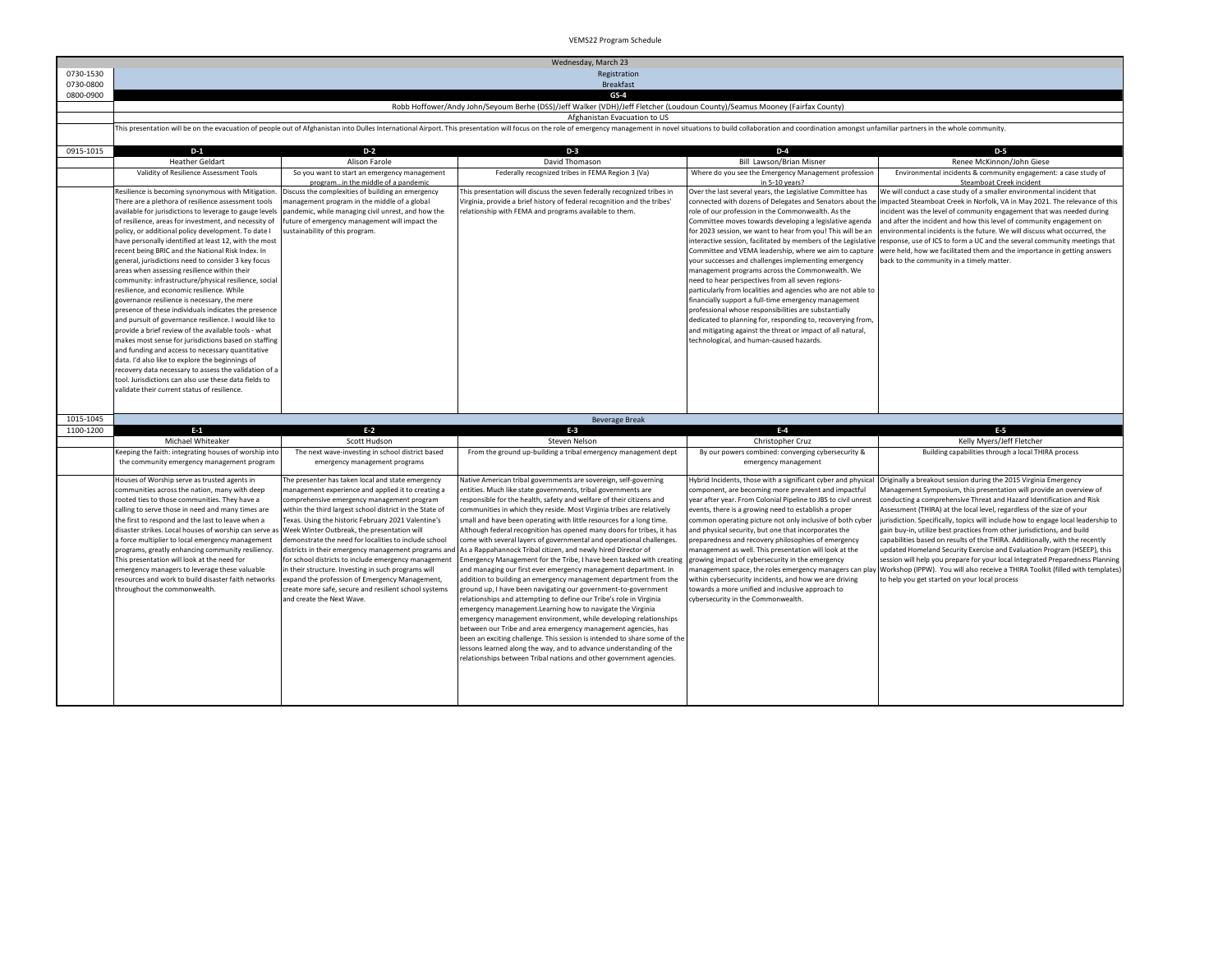|           | Wednesday, March 23                                                                                          |                                                                                                                 |                                                                                                                                                                                                                                |                                                                                                                   |                                                                                                                                                            |  |
|-----------|--------------------------------------------------------------------------------------------------------------|-----------------------------------------------------------------------------------------------------------------|--------------------------------------------------------------------------------------------------------------------------------------------------------------------------------------------------------------------------------|-------------------------------------------------------------------------------------------------------------------|------------------------------------------------------------------------------------------------------------------------------------------------------------|--|
| 0730-1530 | Registration                                                                                                 |                                                                                                                 |                                                                                                                                                                                                                                |                                                                                                                   |                                                                                                                                                            |  |
| 0730-0800 |                                                                                                              |                                                                                                                 | <b>Breakfast</b>                                                                                                                                                                                                               |                                                                                                                   |                                                                                                                                                            |  |
| 0800-0900 |                                                                                                              |                                                                                                                 | $GS-4$                                                                                                                                                                                                                         |                                                                                                                   |                                                                                                                                                            |  |
|           |                                                                                                              |                                                                                                                 | Robb Hoffower/Andy John/Seyoum Berhe (DSS)/Jeff Walker (VDH)/Jeff Fletcher (Loudoun County)/Seamus Mooney (Fairfax County)                                                                                                     |                                                                                                                   |                                                                                                                                                            |  |
|           |                                                                                                              |                                                                                                                 | Afghanistan Evacuation to US                                                                                                                                                                                                   |                                                                                                                   |                                                                                                                                                            |  |
|           |                                                                                                              |                                                                                                                 | This presentation will be on the evacuation of people out of Afghanistan into Dulles International Airport. This presentation will focus on the role of emergency management in novel situations to build collaboration and co |                                                                                                                   |                                                                                                                                                            |  |
| 0915-1015 | $D-1$                                                                                                        | $D-2$                                                                                                           | $D-3$                                                                                                                                                                                                                          | $D-4$                                                                                                             | $D-5$                                                                                                                                                      |  |
|           | <b>Heather Geldart</b>                                                                                       | Alison Farole                                                                                                   | David Thomason                                                                                                                                                                                                                 | Bill Lawson/Brian Misner                                                                                          | Renee McKinnon/John Giese                                                                                                                                  |  |
|           | Validity of Resilience Assessment Tools                                                                      | So you want to start an emergency management                                                                    | Federally recognized tribes in FEMA Region 3 (Va)                                                                                                                                                                              | Where do you see the Emergency Management profession                                                              | Environmental incidents & community engagement: a case study of                                                                                            |  |
|           | Resilience is becoming synonymous with Mitigation                                                            | programin the middle of a pandemic<br>Discuss the complexities of building an emergency                         | This presentation will discuss the seven federally recognized tribes in                                                                                                                                                        | in 5-10 years?<br>Over the last several years, the Legislative Committee has                                      | Steamboat Creek incident<br>We will conduct a case study of a smaller environmental incident that                                                          |  |
|           | There are a plethora of resilience assessment tools                                                          | nanagement program in the middle of a global                                                                    | Virginia, provide a brief history of federal recognition and the tribes'                                                                                                                                                       | connected with dozens of Delegates and Senators about the                                                         | impacted Steamboat Creek in Norfolk, VA in May 2021. The relevance of this                                                                                 |  |
|           | available for jurisdictions to leverage to gauge levels                                                      | pandemic, while managing civil unrest, and how the                                                              | elationship with FEMA and programs available to them.                                                                                                                                                                          | role of our profession in the Commonwealth. As the                                                                | incident was the level of community engagement that was needed during                                                                                      |  |
|           | of resilience, areas for investment, and necessity of                                                        | future of emergency management will impact the                                                                  |                                                                                                                                                                                                                                | Committee moves towards developing a legislative agenda                                                           | and after the incident and how this level of community engagement on                                                                                       |  |
|           | policy, or additional policy development. To date I                                                          | sustainability of this program.                                                                                 |                                                                                                                                                                                                                                | for 2023 session, we want to hear from you! This will be an                                                       | environmental incidents is the future. We will discuss what occurred, the                                                                                  |  |
|           | have personally identified at least 12, with the most                                                        |                                                                                                                 |                                                                                                                                                                                                                                | nteractive session, facilitated by members of the Legislative                                                     | response, use of ICS to form a UC and the several community meetings that                                                                                  |  |
|           | recent being BRIC and the National Risk Index. In<br>general, jurisdictions need to consider 3 key focus     |                                                                                                                 |                                                                                                                                                                                                                                | Committee and VEMA leadership, where we aim to capture<br>your successes and challenges implementing emergency    | were held, how we facilitated them and the importance in getting answers<br>back to the community in a timely matter.                                      |  |
|           | areas when assessing resilience within their                                                                 |                                                                                                                 |                                                                                                                                                                                                                                | management programs across the Commonwealth. We                                                                   |                                                                                                                                                            |  |
|           | community: infrastructure/physical resilience, social                                                        |                                                                                                                 |                                                                                                                                                                                                                                | need to hear perspectives from all seven regions-                                                                 |                                                                                                                                                            |  |
|           | resilience, and economic resilience. While                                                                   |                                                                                                                 |                                                                                                                                                                                                                                | particularly from localities and agencies who are not able to                                                     |                                                                                                                                                            |  |
|           | governance resilience is necessary, the mere                                                                 |                                                                                                                 |                                                                                                                                                                                                                                | financially support a full-time emergency management                                                              |                                                                                                                                                            |  |
|           | presence of these individuals indicates the presence                                                         |                                                                                                                 |                                                                                                                                                                                                                                | professional whose responsibilities are substantially                                                             |                                                                                                                                                            |  |
|           | and pursuit of governance resilience. I would like to                                                        |                                                                                                                 |                                                                                                                                                                                                                                | dedicated to planning for, responding to, recoverying from,                                                       |                                                                                                                                                            |  |
|           | provide a brief review of the available tools - what<br>makes most sense for jurisdictions based on staffing |                                                                                                                 |                                                                                                                                                                                                                                | and mitigating against the threat or impact of all natural,<br>technological, and human-caused hazards.           |                                                                                                                                                            |  |
|           | and funding and access to necessary quantitative                                                             |                                                                                                                 |                                                                                                                                                                                                                                |                                                                                                                   |                                                                                                                                                            |  |
|           | data. I'd also like to explore the beginnings of                                                             |                                                                                                                 |                                                                                                                                                                                                                                |                                                                                                                   |                                                                                                                                                            |  |
|           | recovery data necessary to assess the validation of a                                                        |                                                                                                                 |                                                                                                                                                                                                                                |                                                                                                                   |                                                                                                                                                            |  |
|           | tool. Jurisdictions can also use these data fields to                                                        |                                                                                                                 |                                                                                                                                                                                                                                |                                                                                                                   |                                                                                                                                                            |  |
|           | validate their current status of resilience.                                                                 |                                                                                                                 |                                                                                                                                                                                                                                |                                                                                                                   |                                                                                                                                                            |  |
|           |                                                                                                              |                                                                                                                 |                                                                                                                                                                                                                                |                                                                                                                   |                                                                                                                                                            |  |
| 1015-1045 |                                                                                                              |                                                                                                                 | <b>Beverage Break</b>                                                                                                                                                                                                          |                                                                                                                   |                                                                                                                                                            |  |
| 1100-1200 | $E-1$                                                                                                        | $E-2$                                                                                                           | $E-3$                                                                                                                                                                                                                          | $E-4$                                                                                                             | $E-5$                                                                                                                                                      |  |
|           | Michael Whiteaker                                                                                            | Scott Hudson                                                                                                    | Steven Nelson                                                                                                                                                                                                                  | Christopher Cruz                                                                                                  | Kelly Myers/Jeff Fletcher                                                                                                                                  |  |
|           | Keeping the faith: integrating houses of worship into                                                        | The next wave-investing in school district based                                                                | From the ground up-building a tribal emergency management dept                                                                                                                                                                 | By our powers combined: converging cybersecurity &                                                                | Building capabilities through a local THIRA process                                                                                                        |  |
|           | the community emergency management program                                                                   | emergency management programs                                                                                   |                                                                                                                                                                                                                                | emergency management                                                                                              |                                                                                                                                                            |  |
|           | Houses of Worship serve as trusted agents in                                                                 | The presenter has taken local and state emergency                                                               | Native American tribal governments are sovereign, self-governing                                                                                                                                                               | Hybrid Incidents, those with a significant cyber and physical                                                     | Originally a breakout session during the 2015 Virginia Emergency                                                                                           |  |
|           | communities across the nation, many with deep                                                                | management experience and applied it to creating a                                                              | entities. Much like state governments, tribal governments are                                                                                                                                                                  | component, are becoming more prevalent and impactful                                                              | Management Symposium, this presentation will provide an overview of                                                                                        |  |
|           | rooted ties to those communities. They have a                                                                | comprehensive emergency management program                                                                      | esponsible for the health, safety and welfare of their citizens and                                                                                                                                                            | ear after year. From Colonial Pipeline to JBS to civil unrest                                                     | conducting a comprehensive Threat and Hazard Identification and Risk                                                                                       |  |
|           | calling to serve those in need and many times are<br>the first to respond and the last to leave when a       | within the third largest school district in the State of<br>Texas. Using the historic February 2021 Valentine's | communities in which they reside. Most Virginia tribes are relatively<br>small and have been operating with little resources for a long time.                                                                                  | events, there is a growing need to establish a proper                                                             | Assessment (THIRA) at the local level, regardless of the size of your<br>jurisdiction. Specifically, topics will include how to engage local leadership to |  |
|           | disaster strikes. Local houses of worship can serve a                                                        | Week Winter Outbreak, the presentation will                                                                     | Although federal recognition has opened many doors for tribes, it has                                                                                                                                                          | common operating picture not only inclusive of both cyber<br>and physical security, but one that incorporates the | gain buy-in, utilize best practices from other jurisdictions, and build                                                                                    |  |
|           | a force multiplier to local emergency management                                                             | demonstrate the need for localities to include school                                                           | come with several layers of governmental and operational challenges.                                                                                                                                                           | preparedness and recovery philosophies of emergency                                                               | capabilities based on results of the THIRA. Additionally, with the recently                                                                                |  |
|           | programs, greatly enhancing community resiliency.                                                            | districts in their emergency management programs and                                                            | As a Rappahannock Tribal citizen, and newly hired Director of                                                                                                                                                                  | management as well. This presentation will look at the                                                            | updated Homeland Security Exercise and Evaluation Program (HSEEP), this                                                                                    |  |
|           | This presentation will look at the need for                                                                  | for school districts to include emergency management                                                            | Emergency Management for the Tribe, I have been tasked with creating                                                                                                                                                           | growing impact of cybersecurity in the emergency                                                                  | session will help you prepare for your local Integrated Preparedness Planning                                                                              |  |
|           | emergency managers to leverage these valuable                                                                | in their structure. Investing in such programs will                                                             | and managing our first ever emergency management department. In                                                                                                                                                                | nanagement space, the roles emergency managers can plat                                                           | Workshop (IPPW). You will also receive a THIRA Toolkit (filled with templates)                                                                             |  |
|           | resources and work to build disaster faith networks                                                          | expand the profession of Emergency Management,                                                                  | addition to building an emergency management department from the                                                                                                                                                               | within cybersecurity incidents, and how we are driving                                                            | to help you get started on your local process                                                                                                              |  |
|           | throughout the commonwealth.                                                                                 | create more safe, secure and resilient school systems                                                           | ground up, I have been navigating our government-to-government                                                                                                                                                                 | towards a more unified and inclusive approach to                                                                  |                                                                                                                                                            |  |
|           |                                                                                                              | and create the Next Wave.                                                                                       | relationships and attempting to define our Tribe's role in Virginia                                                                                                                                                            | cybersecurity in the Commonwealth.                                                                                |                                                                                                                                                            |  |
|           |                                                                                                              |                                                                                                                 | emergency management.Learning how to navigate the Virginia                                                                                                                                                                     |                                                                                                                   |                                                                                                                                                            |  |
|           |                                                                                                              |                                                                                                                 | emergency management environment, while developing relationships<br>between our Tribe and area emergency management agencies, has                                                                                              |                                                                                                                   |                                                                                                                                                            |  |
|           |                                                                                                              |                                                                                                                 | been an exciting challenge. This session is intended to share some of the                                                                                                                                                      |                                                                                                                   |                                                                                                                                                            |  |
|           |                                                                                                              |                                                                                                                 | lessons learned along the way, and to advance understanding of the                                                                                                                                                             |                                                                                                                   |                                                                                                                                                            |  |
|           |                                                                                                              |                                                                                                                 | relationships between Tribal nations and other government agencies.                                                                                                                                                            |                                                                                                                   |                                                                                                                                                            |  |
|           |                                                                                                              |                                                                                                                 |                                                                                                                                                                                                                                |                                                                                                                   |                                                                                                                                                            |  |
|           |                                                                                                              |                                                                                                                 |                                                                                                                                                                                                                                |                                                                                                                   |                                                                                                                                                            |  |
|           |                                                                                                              |                                                                                                                 |                                                                                                                                                                                                                                |                                                                                                                   |                                                                                                                                                            |  |
|           |                                                                                                              |                                                                                                                 |                                                                                                                                                                                                                                |                                                                                                                   |                                                                                                                                                            |  |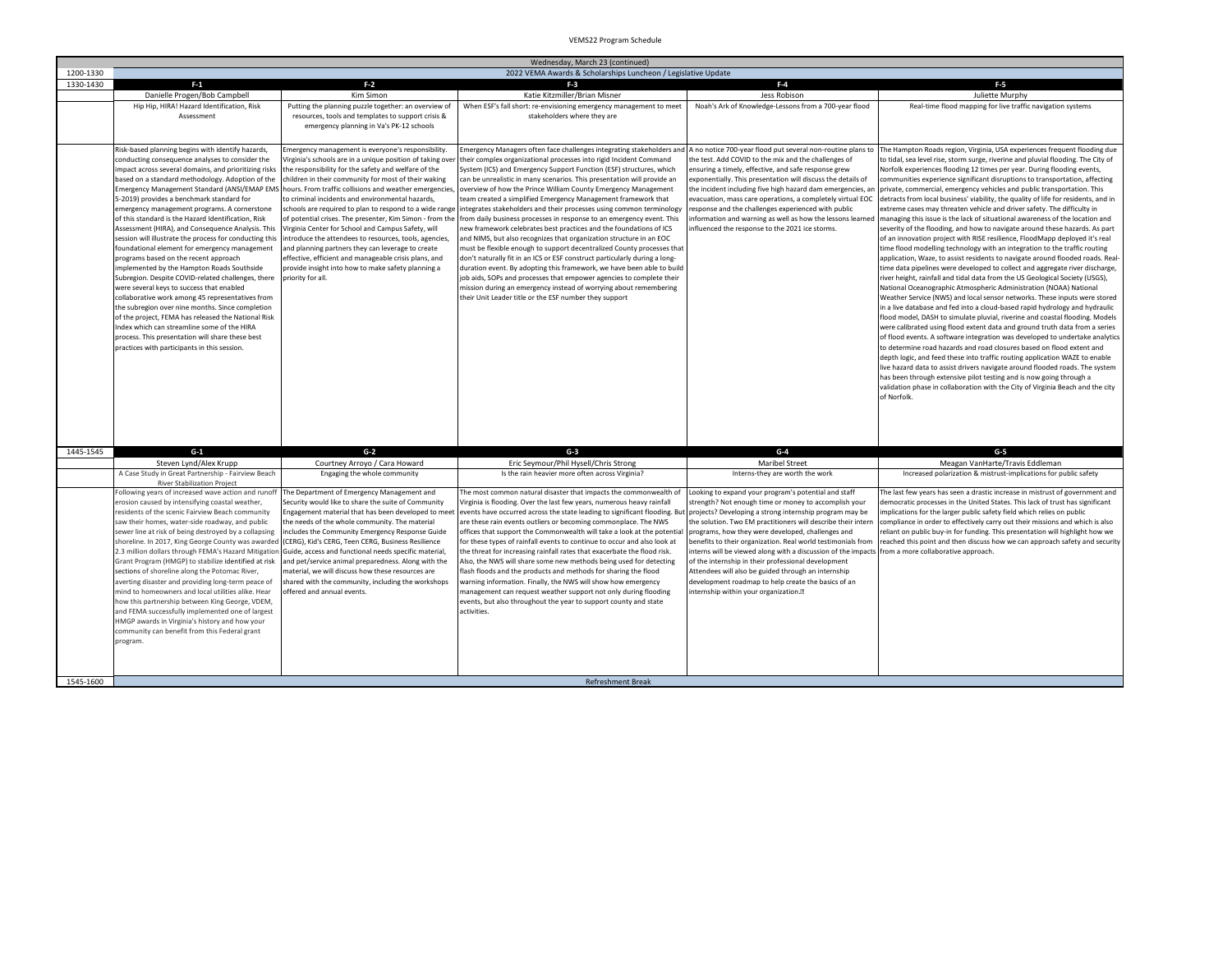|                        | Wednesday, March 23 (continued)                                                                           |                                                                                                              |                                                                                                                                                |                                                                                                                      |                                                                                                                                                             |
|------------------------|-----------------------------------------------------------------------------------------------------------|--------------------------------------------------------------------------------------------------------------|------------------------------------------------------------------------------------------------------------------------------------------------|----------------------------------------------------------------------------------------------------------------------|-------------------------------------------------------------------------------------------------------------------------------------------------------------|
| 1200-1330<br>1330-1430 | 2022 VEMA Awards & Scholarships Luncheon / Legislative Update<br>$F-1$                                    |                                                                                                              |                                                                                                                                                |                                                                                                                      |                                                                                                                                                             |
|                        | Danielle Progen/Bob Campbell                                                                              | $F-2$<br>Kim Simon                                                                                           | $F-3$<br>Katie Kitzmiller/Brian Misner                                                                                                         | $F-4$<br>Jess Robison                                                                                                | $F-5$<br>Juliette Murphy                                                                                                                                    |
|                        | Hip Hip, HIRA! Hazard Identification, Risk                                                                | Putting the planning puzzle together: an overview of                                                         | When ESF's fall short: re-envisioning emergency management to meet                                                                             | Noah's Ark of Knowledge-Lessons from a 700-year flood                                                                | Real-time flood mapping for live traffic navigation systems                                                                                                 |
|                        | Assessment                                                                                                |                                                                                                              |                                                                                                                                                |                                                                                                                      |                                                                                                                                                             |
|                        |                                                                                                           | resources, tools and templates to support crisis &<br>emergency planning in Va's PK-12 schools               | stakeholders where they are                                                                                                                    |                                                                                                                      |                                                                                                                                                             |
|                        |                                                                                                           |                                                                                                              |                                                                                                                                                |                                                                                                                      |                                                                                                                                                             |
|                        |                                                                                                           |                                                                                                              |                                                                                                                                                |                                                                                                                      |                                                                                                                                                             |
|                        | Risk-based planning begins with identify hazards,                                                         | Emergency management is everyone's responsibility.                                                           | Emergency Managers often face challenges integrating stakeholders and                                                                          | A no notice 700-year flood put several non-routine plans to                                                          | The Hampton Roads region, Virginia, USA experiences frequent flooding due                                                                                   |
|                        | conducting consequence analyses to consider the                                                           | lirginia's schools are in a unique position of taking over                                                   | their complex organizational processes into rigid Incident Command                                                                             | the test. Add COVID to the mix and the challenges of                                                                 | to tidal, sea level rise, storm surge, riverine and pluvial flooding. The City of                                                                           |
|                        | impact across several domains, and prioritizing risks<br>based on a standard methodology. Adoption of the | the responsibility for the safety and welfare of the<br>children in their community for most of their waking | System (ICS) and Emergency Support Function (ESF) structures, which<br>can be unrealistic in many scenarios. This presentation will provide an | ensuring a timely, effective, and safe response grew<br>exponentially. This presentation will discuss the details of | Norfolk experiences flooding 12 times per year. During flooding events,<br>communities experience significant disruptions to transportation, affecting      |
|                        |                                                                                                           | Emergency Management Standard (ANSI/EMAP EMS hours. From traffic collisions and weather emergencies          | overview of how the Prince William County Emergency Management                                                                                 | the incident including five high hazard dam emergencies, an                                                          | private, commercial, emergency vehicles and public transportation. This                                                                                     |
|                        | 5-2019) provides a benchmark standard for                                                                 | to criminal incidents and environmental hazards,                                                             | team created a simplified Emergency Management framework that                                                                                  | evacuation, mass care operations, a completely virtual EOC                                                           | detracts from local business' viability, the quality of life for residents, and in                                                                          |
|                        | emergency management programs. A cornerstone                                                              | schools are required to plan to respond to a wide range                                                      | integrates stakeholders and their processes using common terminology                                                                           | response and the challenges experienced with public                                                                  | extreme cases may threaten vehicle and driver safety. The difficulty in                                                                                     |
|                        | of this standard is the Hazard Identification, Risk                                                       | of potential crises. The presenter, Kim Simon - from the                                                     | from daily business processes in response to an emergency event. This                                                                          | information and warning as well as how the lessons learned                                                           | managing this issue is the lack of situational awareness of the location and                                                                                |
|                        | Assessment (HIRA), and Consequence Analysis. This                                                         | Virginia Center for School and Campus Safety, will                                                           | new framework celebrates best practices and the foundations of ICS                                                                             | influenced the response to the 2021 ice storms.                                                                      | severity of the flooding, and how to navigate around these hazards. As part                                                                                 |
|                        | session will illustrate the process for conducting this                                                   | introduce the attendees to resources, tools, agencies,                                                       | and NIMS, but also recognizes that organization structure in an EOC                                                                            |                                                                                                                      | of an innovation project with RISE resilience, FloodMapp deployed it's real                                                                                 |
|                        | foundational element for emergency management                                                             | and planning partners they can leverage to create                                                            | must be flexible enough to support decentralized County processes that                                                                         |                                                                                                                      | time flood modelling technology with an integration to the traffic routing                                                                                  |
|                        | programs based on the recent approach                                                                     | effective, efficient and manageable crisis plans, and                                                        | don't naturally fit in an ICS or ESF construct particularly during a long-                                                                     |                                                                                                                      | application, Waze, to assist residents to navigate around flooded roads. Real-                                                                              |
|                        | implemented by the Hampton Roads Southside                                                                | provide insight into how to make safety planning a                                                           | duration event. By adopting this framework, we have been able to build                                                                         |                                                                                                                      | time data pipelines were developed to collect and aggregate river discharge,                                                                                |
|                        | Subregion. Despite COVID-related challenges, there                                                        | priority for all.                                                                                            | job aids, SOPs and processes that empower agencies to complete their                                                                           |                                                                                                                      | river height, rainfall and tidal data from the US Geological Society (USGS),                                                                                |
|                        | were several keys to success that enabled                                                                 |                                                                                                              | mission during an emergency instead of worrying about remembering                                                                              |                                                                                                                      | National Oceanographic Atmospheric Administration (NOAA) National                                                                                           |
|                        | collaborative work among 45 representatives from                                                          |                                                                                                              | their Unit Leader title or the ESF number they support                                                                                         |                                                                                                                      | Weather Service (NWS) and local sensor networks. These inputs were stored                                                                                   |
|                        | the subregion over nine months. Since completion                                                          |                                                                                                              |                                                                                                                                                |                                                                                                                      | in a live database and fed into a cloud-based rapid hydrology and hydraulic                                                                                 |
|                        | of the project, FEMA has released the National Risk                                                       |                                                                                                              |                                                                                                                                                |                                                                                                                      | flood model, DASH to simulate pluvial, riverine and coastal flooding. Models                                                                                |
|                        | Index which can streamline some of the HIRA<br>process. This presentation will share these best           |                                                                                                              |                                                                                                                                                |                                                                                                                      | were calibrated using flood extent data and ground truth data from a series<br>of flood events. A software integration was developed to undertake analytics |
|                        | practices with participants in this session.                                                              |                                                                                                              |                                                                                                                                                |                                                                                                                      | to determine road hazards and road closures based on flood extent and                                                                                       |
|                        |                                                                                                           |                                                                                                              |                                                                                                                                                |                                                                                                                      | depth logic, and feed these into traffic routing application WAZE to enable                                                                                 |
|                        |                                                                                                           |                                                                                                              |                                                                                                                                                |                                                                                                                      | live hazard data to assist drivers navigate around flooded roads. The system                                                                                |
|                        |                                                                                                           |                                                                                                              |                                                                                                                                                |                                                                                                                      | has been through extensive pilot testing and is now going through a                                                                                         |
|                        |                                                                                                           |                                                                                                              |                                                                                                                                                |                                                                                                                      | validation phase in collaboration with the City of Virginia Beach and the city                                                                              |
|                        |                                                                                                           |                                                                                                              |                                                                                                                                                |                                                                                                                      | of Norfolk.                                                                                                                                                 |
|                        |                                                                                                           |                                                                                                              |                                                                                                                                                |                                                                                                                      |                                                                                                                                                             |
|                        |                                                                                                           |                                                                                                              |                                                                                                                                                |                                                                                                                      |                                                                                                                                                             |
|                        |                                                                                                           |                                                                                                              |                                                                                                                                                |                                                                                                                      |                                                                                                                                                             |
| 1445-1545              | $G-1$                                                                                                     | $G-2$                                                                                                        | $G-3$                                                                                                                                          | $G-4$                                                                                                                | $G-5$                                                                                                                                                       |
|                        | Steven Lynd/Alex Krupp                                                                                    | Courtney Arroyo / Cara Howard                                                                                | Eric Seymour/Phil Hysell/Chris Strong                                                                                                          | <b>Maribel Street</b>                                                                                                | Meagan VanHarte/Travis Eddleman                                                                                                                             |
|                        | A Case Study in Great Partnership - Fairview Beach                                                        | Engaging the whole community                                                                                 | Is the rain heavier more often across Virginia?                                                                                                | Interns-they are worth the work                                                                                      | Increased polarization & mistrust-implications for public safety                                                                                            |
|                        | <b>River Stabilization Project</b>                                                                        |                                                                                                              |                                                                                                                                                |                                                                                                                      |                                                                                                                                                             |
|                        | Following years of increased wave action and runoff                                                       | The Department of Emergency Management and                                                                   | The most common natural disaster that impacts the commonwealth of                                                                              | Looking to expand your program's potential and staff                                                                 | The last few years has seen a drastic increase in mistrust of government and                                                                                |
|                        | erosion caused by intensifying coastal weather,                                                           | Security would like to share the suite of Community                                                          | Virginia is flooding. Over the last few years, numerous heavy rainfall                                                                         | strength? Not enough time or money to accomplish your                                                                | democratic processes in the United States. This lack of trust has significant                                                                               |
|                        | residents of the scenic Fairview Beach community                                                          | Engagement material that has been developed to meet                                                          | events have occurred across the state leading to significant flooding. But                                                                     | projects? Developing a strong internship program may be                                                              | implications for the larger public safety field which relies on public                                                                                      |
|                        | saw their homes, water-side roadway, and public                                                           | the needs of the whole community. The material                                                               | are these rain events outliers or becoming commonplace. The NWS                                                                                | the solution. Two EM practitioners will describe their intern                                                        | compliance in order to effectively carry out their missions and which is also                                                                               |
|                        | sewer line at risk of being destroyed by a collapsing                                                     | includes the Community Emergency Response Guide                                                              | offices that support the Commonwealth will take a look at the potentia                                                                         | programs, how they were developed, challenges and                                                                    | reliant on public buy-in for funding. This presentation will highlight how we                                                                               |
|                        | shoreline. In 2017, King George County was awarded (CERG), Kid's CERG, Teen CERG, Business Resilience     |                                                                                                              | for these types of rainfall events to continue to occur and also look at                                                                       | benefits to their organization. Real world testimonials from                                                         | reached this point and then discuss how we can approach safety and security                                                                                 |
|                        | 2.3 million dollars through FEMA's Hazard Mitigation                                                      | Guide, access and functional needs specific material.                                                        | the threat for increasing rainfall rates that exacerbate the flood risk.                                                                       | nterns will be viewed along with a discussion of the impacts                                                         | from a more collaborative approach.                                                                                                                         |
|                        | Grant Program (HMGP) to stabilize identified at risk<br>sections of shoreline along the Potomac River,    | and pet/service animal preparedness. Along with the<br>material, we will discuss how these resources are     | Also, the NWS will share some new methods being used for detecting<br>flash floods and the products and methods for sharing the flood          | of the internship in their professional development<br>Attendees will also be guided through an internship           |                                                                                                                                                             |
|                        | averting disaster and providing long-term peace of                                                        | shared with the community, including the workshops                                                           | warning information. Finally, the NWS will show how emergency                                                                                  | development roadmap to help create the basics of an                                                                  |                                                                                                                                                             |
|                        | mind to homeowners and local utilities alike. Hear                                                        | offered and annual events.                                                                                   | management can request weather support not only during flooding                                                                                | nternship within your organization.•                                                                                 |                                                                                                                                                             |
|                        | how this partnership between King George, VDEM,                                                           |                                                                                                              | events, but also throughout the year to support county and state                                                                               |                                                                                                                      |                                                                                                                                                             |
|                        | and FEMA successfully implemented one of largest                                                          |                                                                                                              | activities.                                                                                                                                    |                                                                                                                      |                                                                                                                                                             |
|                        | HMGP awards in Virginia's history and how your                                                            |                                                                                                              |                                                                                                                                                |                                                                                                                      |                                                                                                                                                             |
|                        | community can benefit from this Federal grant                                                             |                                                                                                              |                                                                                                                                                |                                                                                                                      |                                                                                                                                                             |
|                        | program.                                                                                                  |                                                                                                              |                                                                                                                                                |                                                                                                                      |                                                                                                                                                             |
|                        |                                                                                                           |                                                                                                              |                                                                                                                                                |                                                                                                                      |                                                                                                                                                             |
|                        |                                                                                                           |                                                                                                              |                                                                                                                                                |                                                                                                                      |                                                                                                                                                             |
| 1545-1600              |                                                                                                           |                                                                                                              | <b>Refreshment Break</b>                                                                                                                       |                                                                                                                      |                                                                                                                                                             |
|                        |                                                                                                           |                                                                                                              |                                                                                                                                                |                                                                                                                      |                                                                                                                                                             |